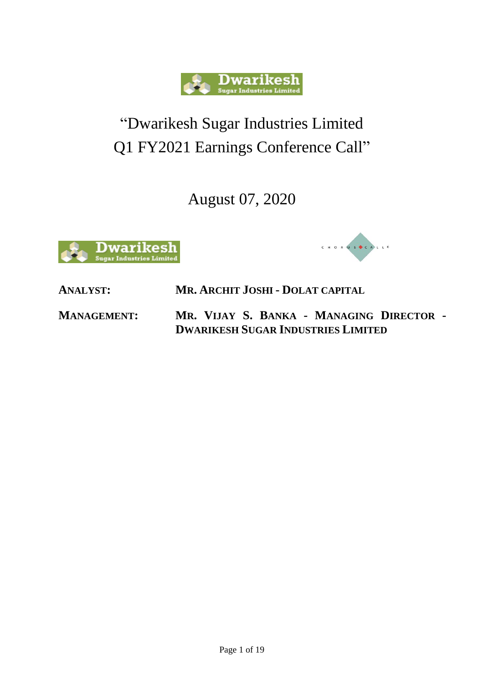

## "Dwarikesh Sugar Industries Limited Q1 FY2021 Earnings Conference Call"

August 07, 2020





**ANALYST: MR. ARCHIT JOSHI - DOLAT CAPITAL**

**MANAGEMENT: MR. VIJAY S. BANKA - MANAGING DIRECTOR - DWARIKESH SUGAR INDUSTRIES LIMITED**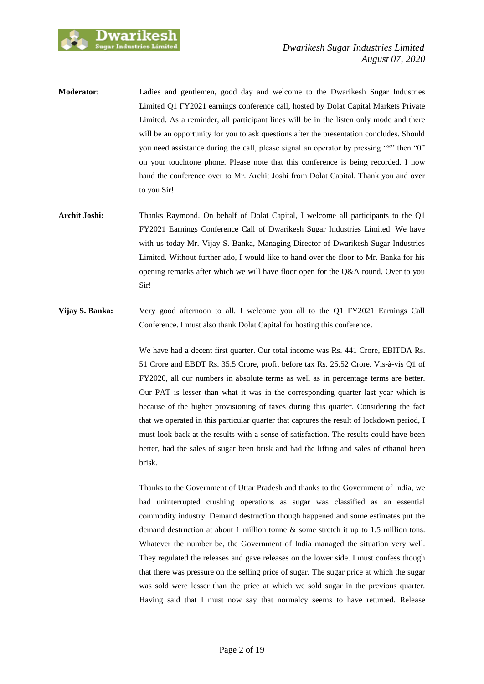

- **Moderator**: Ladies and gentlemen, good day and welcome to the Dwarikesh Sugar Industries Limited Q1 FY2021 earnings conference call, hosted by Dolat Capital Markets Private Limited. As a reminder, all participant lines will be in the listen only mode and there will be an opportunity for you to ask questions after the presentation concludes. Should you need assistance during the call, please signal an operator by pressing "\*" then "0" on your touchtone phone. Please note that this conference is being recorded. I now hand the conference over to Mr. Archit Joshi from Dolat Capital. Thank you and over to you Sir!
- **Archit Joshi:** Thanks Raymond. On behalf of Dolat Capital, I welcome all participants to the Q1 FY2021 Earnings Conference Call of Dwarikesh Sugar Industries Limited. We have with us today Mr. Vijay S. Banka, Managing Director of Dwarikesh Sugar Industries Limited. Without further ado, I would like to hand over the floor to Mr. Banka for his opening remarks after which we will have floor open for the Q&A round. Over to you Sir!
- **Vijay S. Banka:** Very good afternoon to all. I welcome you all to the Q1 FY2021 Earnings Call Conference. I must also thank Dolat Capital for hosting this conference.

We have had a decent first quarter. Our total income was Rs. 441 Crore, EBITDA Rs. 51 Crore and EBDT Rs. 35.5 Crore, profit before tax Rs. 25.52 Crore. Vis-à-vis Q1 of FY2020, all our numbers in absolute terms as well as in percentage terms are better. Our PAT is lesser than what it was in the corresponding quarter last year which is because of the higher provisioning of taxes during this quarter. Considering the fact that we operated in this particular quarter that captures the result of lockdown period, I must look back at the results with a sense of satisfaction. The results could have been better, had the sales of sugar been brisk and had the lifting and sales of ethanol been brisk.

Thanks to the Government of Uttar Pradesh and thanks to the Government of India, we had uninterrupted crushing operations as sugar was classified as an essential commodity industry. Demand destruction though happened and some estimates put the demand destruction at about 1 million tonne & some stretch it up to 1.5 million tons. Whatever the number be, the Government of India managed the situation very well. They regulated the releases and gave releases on the lower side. I must confess though that there was pressure on the selling price of sugar. The sugar price at which the sugar was sold were lesser than the price at which we sold sugar in the previous quarter. Having said that I must now say that normalcy seems to have returned. Release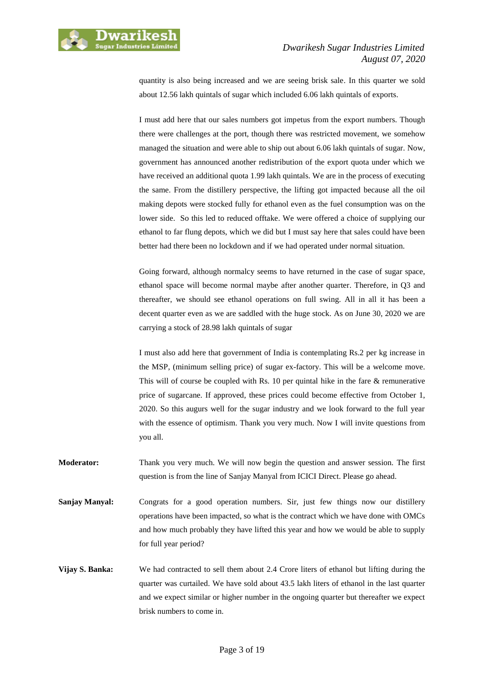

quantity is also being increased and we are seeing brisk sale. In this quarter we sold about 12.56 lakh quintals of sugar which included 6.06 lakh quintals of exports.

I must add here that our sales numbers got impetus from the export numbers. Though there were challenges at the port, though there was restricted movement, we somehow managed the situation and were able to ship out about 6.06 lakh quintals of sugar. Now, government has announced another redistribution of the export quota under which we have received an additional quota 1.99 lakh quintals. We are in the process of executing the same. From the distillery perspective, the lifting got impacted because all the oil making depots were stocked fully for ethanol even as the fuel consumption was on the lower side. So this led to reduced offtake. We were offered a choice of supplying our ethanol to far flung depots, which we did but I must say here that sales could have been better had there been no lockdown and if we had operated under normal situation.

Going forward, although normalcy seems to have returned in the case of sugar space, ethanol space will become normal maybe after another quarter. Therefore, in Q3 and thereafter, we should see ethanol operations on full swing. All in all it has been a decent quarter even as we are saddled with the huge stock. As on June 30, 2020 we are carrying a stock of 28.98 lakh quintals of sugar

I must also add here that government of India is contemplating Rs.2 per kg increase in the MSP, (minimum selling price) of sugar ex-factory. This will be a welcome move. This will of course be coupled with Rs. 10 per quintal hike in the fare  $\&$  remunerative price of sugarcane. If approved, these prices could become effective from October 1, 2020. So this augurs well for the sugar industry and we look forward to the full year with the essence of optimism. Thank you very much. Now I will invite questions from you all.

- **Moderator:** Thank you very much. We will now begin the question and answer session. The first question is from the line of Sanjay Manyal from ICICI Direct. Please go ahead.
- **Sanjay Manyal:** Congrats for a good operation numbers. Sir, just few things now our distillery operations have been impacted, so what is the contract which we have done with OMCs and how much probably they have lifted this year and how we would be able to supply for full year period?
- **Vijay S. Banka:** We had contracted to sell them about 2.4 Crore liters of ethanol but lifting during the quarter was curtailed. We have sold about 43.5 lakh liters of ethanol in the last quarter and we expect similar or higher number in the ongoing quarter but thereafter we expect brisk numbers to come in.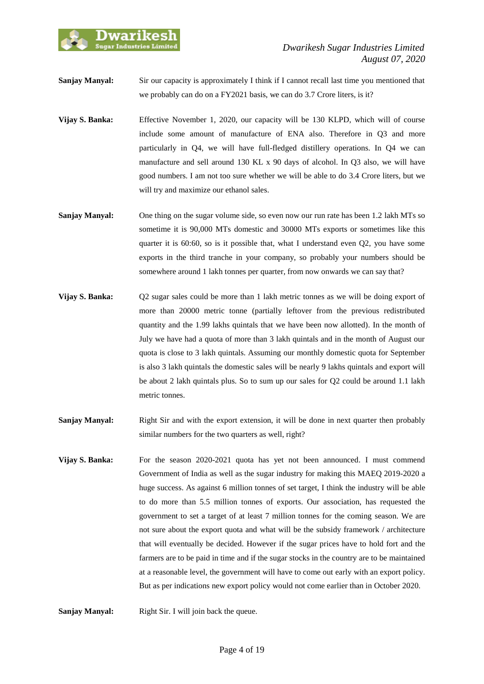

**Sanjay Manyal:** Sir our capacity is approximately I think if I cannot recall last time you mentioned that we probably can do on a FY2021 basis, we can do 3.7 Crore liters, is it?

- **Vijay S. Banka:** Effective November 1, 2020, our capacity will be 130 KLPD, which will of course include some amount of manufacture of ENA also. Therefore in Q3 and more particularly in Q4, we will have full-fledged distillery operations. In Q4 we can manufacture and sell around 130 KL x 90 days of alcohol. In Q3 also, we will have good numbers. I am not too sure whether we will be able to do 3.4 Crore liters, but we will try and maximize our ethanol sales.
- **Sanjay Manyal:** One thing on the sugar volume side, so even now our run rate has been 1.2 lakh MTs so sometime it is 90,000 MTs domestic and 30000 MTs exports or sometimes like this quarter it is 60:60, so is it possible that, what I understand even Q2, you have some exports in the third tranche in your company, so probably your numbers should be somewhere around 1 lakh tonnes per quarter, from now onwards we can say that?
- **Vijay S. Banka:** Q2 sugar sales could be more than 1 lakh metric tonnes as we will be doing export of more than 20000 metric tonne (partially leftover from the previous redistributed quantity and the 1.99 lakhs quintals that we have been now allotted). In the month of July we have had a quota of more than 3 lakh quintals and in the month of August our quota is close to 3 lakh quintals. Assuming our monthly domestic quota for September is also 3 lakh quintals the domestic sales will be nearly 9 lakhs quintals and export will be about 2 lakh quintals plus. So to sum up our sales for Q2 could be around 1.1 lakh metric tonnes.
- **Sanjay Manyal:** Right Sir and with the export extension, it will be done in next quarter then probably similar numbers for the two quarters as well, right?
- **Vijay S. Banka:** For the season 2020-2021 quota has yet not been announced. I must commend Government of India as well as the sugar industry for making this MAEQ 2019-2020 a huge success. As against 6 million tonnes of set target, I think the industry will be able to do more than 5.5 million tonnes of exports. Our association, has requested the government to set a target of at least 7 million tonnes for the coming season. We are not sure about the export quota and what will be the subsidy framework / architecture that will eventually be decided. However if the sugar prices have to hold fort and the farmers are to be paid in time and if the sugar stocks in the country are to be maintained at a reasonable level, the government will have to come out early with an export policy. But as per indications new export policy would not come earlier than in October 2020.

**Sanjay Manyal:** Right Sir. I will join back the queue.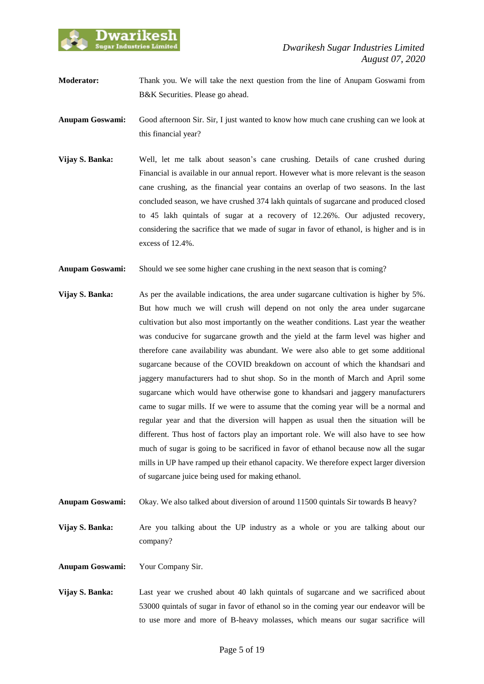

**Moderator:** Thank you. We will take the next question from the line of Anupam Goswami from B&K Securities. Please go ahead.

**Anupam Goswami:** Good afternoon Sir. Sir, I just wanted to know how much cane crushing can we look at this financial year?

- **Vijay S. Banka:** Well, let me talk about season's cane crushing. Details of cane crushed during Financial is available in our annual report. However what is more relevant is the season cane crushing, as the financial year contains an overlap of two seasons. In the last concluded season, we have crushed 374 lakh quintals of sugarcane and produced closed to 45 lakh quintals of sugar at a recovery of 12.26%. Our adjusted recovery, considering the sacrifice that we made of sugar in favor of ethanol, is higher and is in excess of 12.4%.
- **Anupam Goswami:** Should we see some higher cane crushing in the next season that is coming?
- **Vijay S. Banka:** As per the available indications, the area under sugarcane cultivation is higher by 5%. But how much we will crush will depend on not only the area under sugarcane cultivation but also most importantly on the weather conditions. Last year the weather was conducive for sugarcane growth and the yield at the farm level was higher and therefore cane availability was abundant. We were also able to get some additional sugarcane because of the COVID breakdown on account of which the khandsari and jaggery manufacturers had to shut shop. So in the month of March and April some sugarcane which would have otherwise gone to khandsari and jaggery manufacturers came to sugar mills. If we were to assume that the coming year will be a normal and regular year and that the diversion will happen as usual then the situation will be different. Thus host of factors play an important role. We will also have to see how much of sugar is going to be sacrificed in favor of ethanol because now all the sugar mills in UP have ramped up their ethanol capacity. We therefore expect larger diversion of sugarcane juice being used for making ethanol.
- **Anupam Goswami:** Okay. We also talked about diversion of around 11500 quintals Sir towards B heavy?
- **Vijay S. Banka:** Are you talking about the UP industry as a whole or you are talking about our company?

**Anupam Goswami:** Your Company Sir.

**Vijay S. Banka:** Last year we crushed about 40 lakh quintals of sugarcane and we sacrificed about 53000 quintals of sugar in favor of ethanol so in the coming year our endeavor will be to use more and more of B-heavy molasses, which means our sugar sacrifice will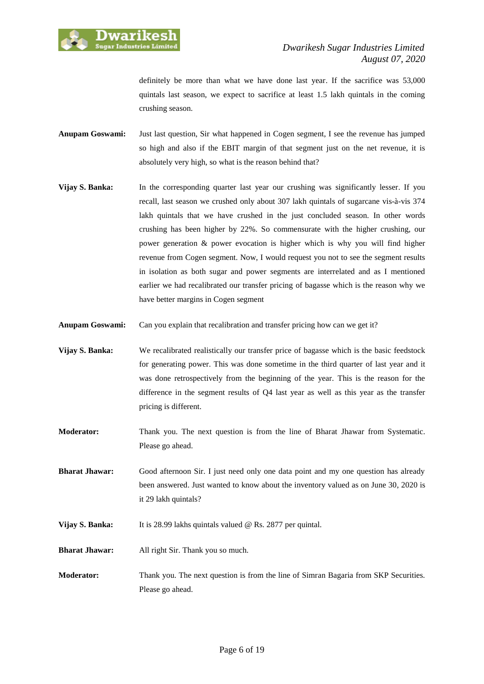

definitely be more than what we have done last year. If the sacrifice was 53,000 quintals last season, we expect to sacrifice at least 1.5 lakh quintals in the coming crushing season.

- **Anupam Goswami:** Just last question, Sir what happened in Cogen segment, I see the revenue has jumped so high and also if the EBIT margin of that segment just on the net revenue, it is absolutely very high, so what is the reason behind that?
- **Vijay S. Banka:** In the corresponding quarter last year our crushing was significantly lesser. If you recall, last season we crushed only about 307 lakh quintals of sugarcane vis-à-vis 374 lakh quintals that we have crushed in the just concluded season. In other words crushing has been higher by 22%. So commensurate with the higher crushing, our power generation & power evocation is higher which is why you will find higher revenue from Cogen segment. Now, I would request you not to see the segment results in isolation as both sugar and power segments are interrelated and as I mentioned earlier we had recalibrated our transfer pricing of bagasse which is the reason why we have better margins in Cogen segment
- **Anupam Goswami:** Can you explain that recalibration and transfer pricing how can we get it?
- **Vijay S. Banka:** We recalibrated realistically our transfer price of bagasse which is the basic feedstock for generating power. This was done sometime in the third quarter of last year and it was done retrospectively from the beginning of the year. This is the reason for the difference in the segment results of Q4 last year as well as this year as the transfer pricing is different.
- **Moderator:** Thank you. The next question is from the line of Bharat Jhawar from Systematic. Please go ahead.
- **Bharat Jhawar:** Good afternoon Sir. I just need only one data point and my one question has already been answered. Just wanted to know about the inventory valued as on June 30, 2020 is it 29 lakh quintals?
- **Vijay S. Banka:** It is 28.99 lakhs quintals valued @ Rs. 2877 per quintal.
- **Bharat Jhawar:** All right Sir. Thank you so much.
- **Moderator:** Thank you. The next question is from the line of Simran Bagaria from SKP Securities. Please go ahead.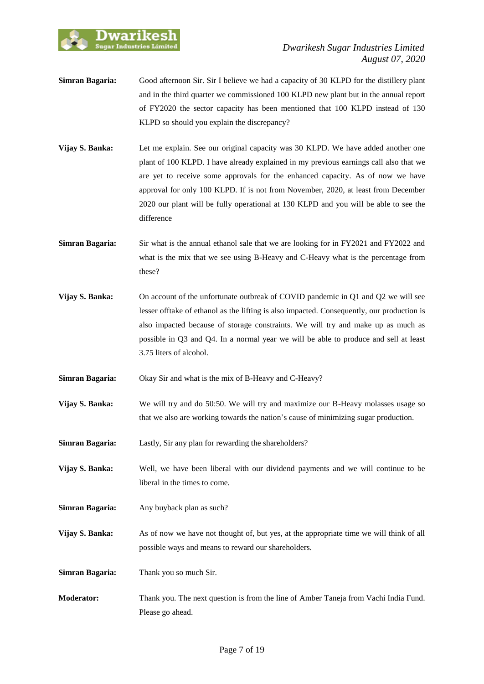

- **Simran Bagaria:** Good afternoon Sir. Sir I believe we had a capacity of 30 KLPD for the distillery plant and in the third quarter we commissioned 100 KLPD new plant but in the annual report of FY2020 the sector capacity has been mentioned that 100 KLPD instead of 130 KLPD so should you explain the discrepancy?
- **Vijay S. Banka:** Let me explain. See our original capacity was 30 KLPD. We have added another one plant of 100 KLPD. I have already explained in my previous earnings call also that we are yet to receive some approvals for the enhanced capacity. As of now we have approval for only 100 KLPD. If is not from November, 2020, at least from December 2020 our plant will be fully operational at 130 KLPD and you will be able to see the difference
- **Simran Bagaria:** Sir what is the annual ethanol sale that we are looking for in FY2021 and FY2022 and what is the mix that we see using B-Heavy and C-Heavy what is the percentage from these?
- **Vijay S. Banka:** On account of the unfortunate outbreak of COVID pandemic in Q1 and Q2 we will see lesser offtake of ethanol as the lifting is also impacted. Consequently, our production is also impacted because of storage constraints. We will try and make up as much as possible in Q3 and Q4. In a normal year we will be able to produce and sell at least 3.75 liters of alcohol.
- **Simran Bagaria:** Okay Sir and what is the mix of B-Heavy and C-Heavy?

**Vijay S. Banka:** We will try and do 50:50. We will try and maximize our B-Heavy molasses usage so that we also are working towards the nation's cause of minimizing sugar production.

- **Simran Bagaria:** Lastly, Sir any plan for rewarding the shareholders?
- **Vijay S. Banka:** Well, we have been liberal with our dividend payments and we will continue to be liberal in the times to come.
- **Simran Bagaria:** Any buyback plan as such?
- **Vijay S. Banka:** As of now we have not thought of, but yes, at the appropriate time we will think of all possible ways and means to reward our shareholders.

**Simran Bagaria:** Thank you so much Sir.

**Moderator:** Thank you. The next question is from the line of Amber Taneja from Vachi India Fund. Please go ahead.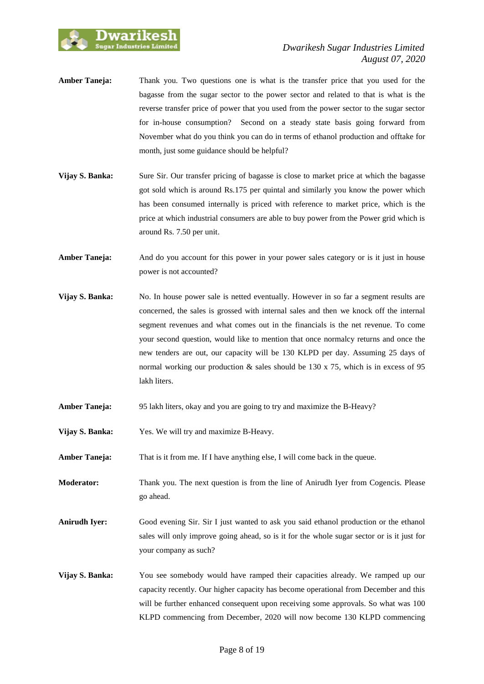

- **Amber Taneja:** Thank you. Two questions one is what is the transfer price that you used for the bagasse from the sugar sector to the power sector and related to that is what is the reverse transfer price of power that you used from the power sector to the sugar sector for in-house consumption? Second on a steady state basis going forward from November what do you think you can do in terms of ethanol production and offtake for month, just some guidance should be helpful?
- **Vijay S. Banka:** Sure Sir. Our transfer pricing of bagasse is close to market price at which the bagasse got sold which is around Rs.175 per quintal and similarly you know the power which has been consumed internally is priced with reference to market price, which is the price at which industrial consumers are able to buy power from the Power grid which is around Rs. 7.50 per unit.
- **Amber Taneja:** And do you account for this power in your power sales category or is it just in house power is not accounted?
- **Vijay S. Banka:** No. In house power sale is netted eventually. However in so far a segment results are concerned, the sales is grossed with internal sales and then we knock off the internal segment revenues and what comes out in the financials is the net revenue. To come your second question, would like to mention that once normalcy returns and once the new tenders are out, our capacity will be 130 KLPD per day. Assuming 25 days of normal working our production  $\&$  sales should be 130 x 75, which is in excess of 95 lakh liters.
- **Amber Taneja:** 95 lakh liters, okay and you are going to try and maximize the B-Heavy?
- **Vijay S. Banka:** Yes. We will try and maximize B-Heavy.
- **Amber Taneja:** That is it from me. If I have anything else, I will come back in the queue.
- **Moderator:** Thank you. The next question is from the line of Anirudh Iyer from Cogencis. Please go ahead.
- **Anirudh Iyer:** Good evening Sir. Sir I just wanted to ask you said ethanol production or the ethanol sales will only improve going ahead, so is it for the whole sugar sector or is it just for your company as such?
- **Vijay S. Banka:** You see somebody would have ramped their capacities already. We ramped up our capacity recently. Our higher capacity has become operational from December and this will be further enhanced consequent upon receiving some approvals. So what was 100 KLPD commencing from December, 2020 will now become 130 KLPD commencing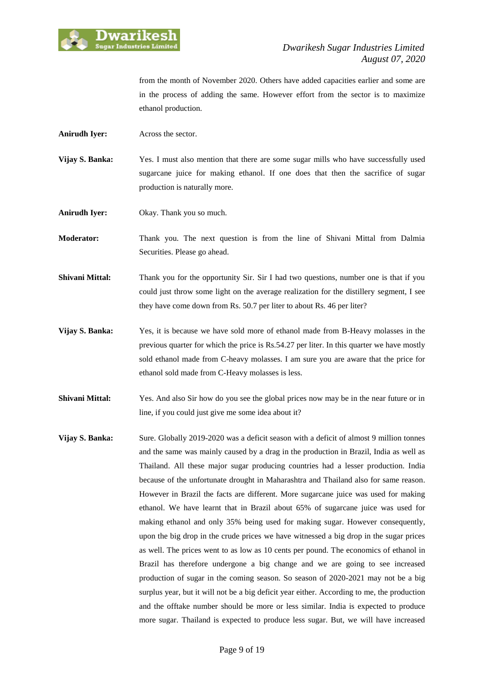

from the month of November 2020. Others have added capacities earlier and some are in the process of adding the same. However effort from the sector is to maximize ethanol production.

- **Anirudh Iyer:** Across the sector.
- **Vijay S. Banka:** Yes. I must also mention that there are some sugar mills who have successfully used sugarcane juice for making ethanol. If one does that then the sacrifice of sugar production is naturally more.

**Anirudh Iyer:** Okay. Thank you so much.

**Moderator:** Thank you. The next question is from the line of Shivani Mittal from Dalmia Securities. Please go ahead.

- **Shivani Mittal:** Thank you for the opportunity Sir. Sir I had two questions, number one is that if you could just throw some light on the average realization for the distillery segment, I see they have come down from Rs. 50.7 per liter to about Rs. 46 per liter?
- **Vijay S. Banka:** Yes, it is because we have sold more of ethanol made from B-Heavy molasses in the previous quarter for which the price is Rs.54.27 per liter. In this quarter we have mostly sold ethanol made from C-heavy molasses. I am sure you are aware that the price for ethanol sold made from C-Heavy molasses is less.
- **Shivani Mittal:** Yes. And also Sir how do you see the global prices now may be in the near future or in line, if you could just give me some idea about it?
- **Vijay S. Banka:** Sure. Globally 2019-2020 was a deficit season with a deficit of almost 9 million tonnes and the same was mainly caused by a drag in the production in Brazil, India as well as Thailand. All these major sugar producing countries had a lesser production. India because of the unfortunate drought in Maharashtra and Thailand also for same reason. However in Brazil the facts are different. More sugarcane juice was used for making ethanol. We have learnt that in Brazil about 65% of sugarcane juice was used for making ethanol and only 35% being used for making sugar. However consequently, upon the big drop in the crude prices we have witnessed a big drop in the sugar prices as well. The prices went to as low as 10 cents per pound. The economics of ethanol in Brazil has therefore undergone a big change and we are going to see increased production of sugar in the coming season. So season of 2020-2021 may not be a big surplus year, but it will not be a big deficit year either. According to me, the production and the offtake number should be more or less similar. India is expected to produce more sugar. Thailand is expected to produce less sugar. But, we will have increased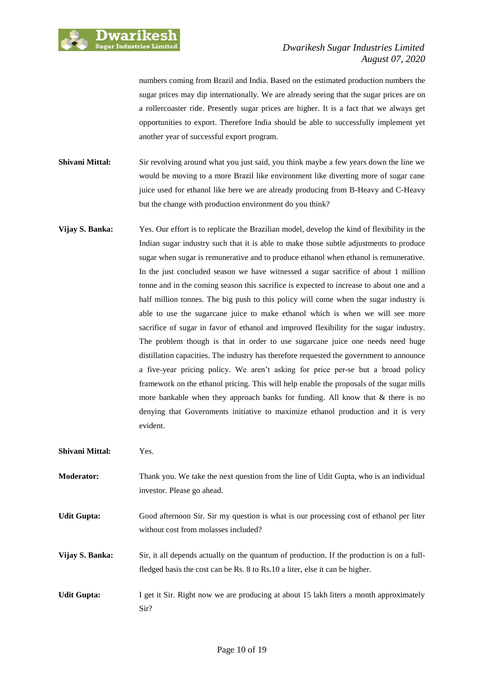

numbers coming from Brazil and India. Based on the estimated production numbers the sugar prices may dip internationally. We are already seeing that the sugar prices are on a rollercoaster ride. Presently sugar prices are higher. It is a fact that we always get opportunities to export. Therefore India should be able to successfully implement yet another year of successful export program.

- **Shivani Mittal:** Sir revolving around what you just said, you think maybe a few years down the line we would be moving to a more Brazil like environment like diverting more of sugar cane juice used for ethanol like here we are already producing from B-Heavy and C-Heavy but the change with production environment do you think?
- **Vijay S. Banka:** Yes. Our effort is to replicate the Brazilian model, develop the kind of flexibility in the Indian sugar industry such that it is able to make those subtle adjustments to produce sugar when sugar is remunerative and to produce ethanol when ethanol is remunerative. In the just concluded season we have witnessed a sugar sacrifice of about 1 million tonne and in the coming season this sacrifice is expected to increase to about one and a half million tonnes. The big push to this policy will come when the sugar industry is able to use the sugarcane juice to make ethanol which is when we will see more sacrifice of sugar in favor of ethanol and improved flexibility for the sugar industry. The problem though is that in order to use sugarcane juice one needs need huge distillation capacities. The industry has therefore requested the government to announce a five-year pricing policy. We aren't asking for price per-se but a broad policy framework on the ethanol pricing. This will help enable the proposals of the sugar mills more bankable when they approach banks for funding. All know that  $\&$  there is no denying that Governments initiative to maximize ethanol production and it is very evident.

**Shivani Mittal:** Yes.

- **Moderator:** Thank you. We take the next question from the line of Udit Gupta, who is an individual investor. Please go ahead.
- **Udit Gupta:** Good afternoon Sir. Sir my question is what is our processing cost of ethanol per liter without cost from molasses included?
- **Vijay S. Banka:** Sir, it all depends actually on the quantum of production. If the production is on a fullfledged basis the cost can be Rs. 8 to Rs.10 a liter, else it can be higher.
- **Udit Gupta:** I get it Sir. Right now we are producing at about 15 lakh liters a month approximately Sir?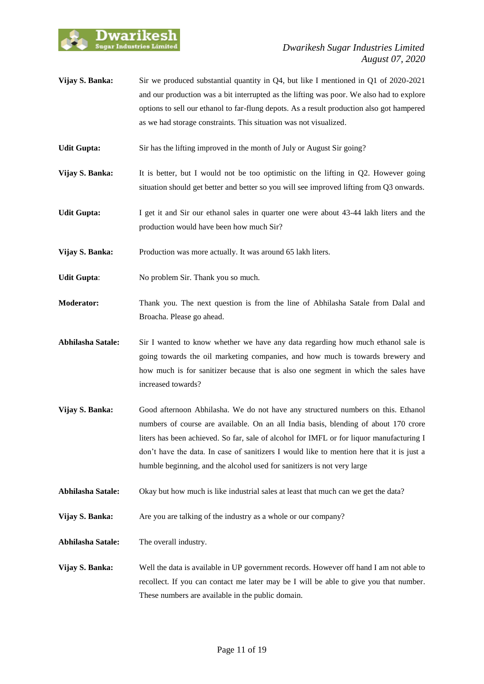

- **Vijay S. Banka:** Sir we produced substantial quantity in Q4, but like I mentioned in Q1 of 2020-2021 and our production was a bit interrupted as the lifting was poor. We also had to explore options to sell our ethanol to far-flung depots. As a result production also got hampered as we had storage constraints. This situation was not visualized.
- **Udit Gupta:** Sir has the lifting improved in the month of July or August Sir going?
- **Vijay S. Banka:** It is better, but I would not be too optimistic on the lifting in Q2. However going situation should get better and better so you will see improved lifting from Q3 onwards.
- **Udit Gupta:** I get it and Sir our ethanol sales in quarter one were about 43-44 lakh liters and the production would have been how much Sir?
- **Vijay S. Banka:** Production was more actually. It was around 65 lakh liters.
- **Udit Gupta:** No problem Sir. Thank you so much.
- **Moderator:** Thank you. The next question is from the line of Abhilasha Satale from Dalal and Broacha. Please go ahead.
- **Abhilasha Satale:** Sir I wanted to know whether we have any data regarding how much ethanol sale is going towards the oil marketing companies, and how much is towards brewery and how much is for sanitizer because that is also one segment in which the sales have increased towards?
- **Vijay S. Banka:** Good afternoon Abhilasha. We do not have any structured numbers on this. Ethanol numbers of course are available. On an all India basis, blending of about 170 crore liters has been achieved. So far, sale of alcohol for IMFL or for liquor manufacturing I don't have the data. In case of sanitizers I would like to mention here that it is just a humble beginning, and the alcohol used for sanitizers is not very large
- **Abhilasha Satale:** Okay but how much is like industrial sales at least that much can we get the data?
- **Vijay S. Banka:** Are you are talking of the industry as a whole or our company?
- **Abhilasha Satale:** The overall industry.
- **Vijay S. Banka:** Well the data is available in UP government records. However off hand I am not able to recollect. If you can contact me later may be I will be able to give you that number. These numbers are available in the public domain.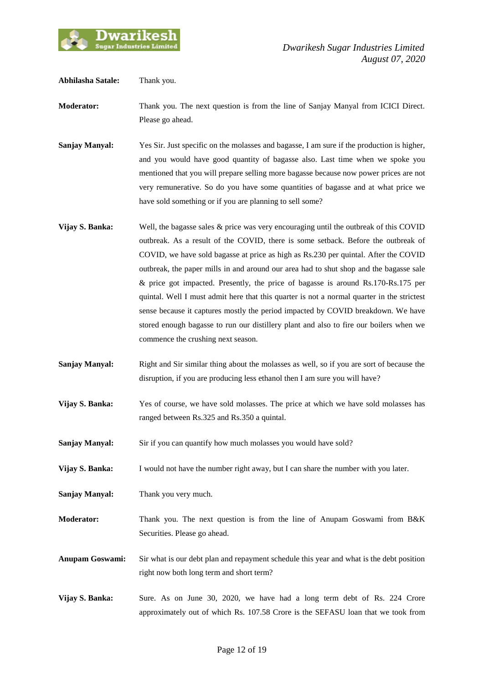

| Abhilasha Satale:      | Thank you.                                                                                                                                                                                                                                                                                                                                                                                                                                                                                                                                                                                                                                                                                                                                                            |
|------------------------|-----------------------------------------------------------------------------------------------------------------------------------------------------------------------------------------------------------------------------------------------------------------------------------------------------------------------------------------------------------------------------------------------------------------------------------------------------------------------------------------------------------------------------------------------------------------------------------------------------------------------------------------------------------------------------------------------------------------------------------------------------------------------|
| <b>Moderator:</b>      | Thank you. The next question is from the line of Sanjay Manyal from ICICI Direct.<br>Please go ahead.                                                                                                                                                                                                                                                                                                                                                                                                                                                                                                                                                                                                                                                                 |
| <b>Sanjay Manyal:</b>  | Yes Sir. Just specific on the molasses and bagasse, I am sure if the production is higher,<br>and you would have good quantity of bagasse also. Last time when we spoke you<br>mentioned that you will prepare selling more bagasse because now power prices are not<br>very remunerative. So do you have some quantities of bagasse and at what price we<br>have sold something or if you are planning to sell some?                                                                                                                                                                                                                                                                                                                                                 |
| Vijay S. Banka:        | Well, the bagasse sales $\&$ price was very encouraging until the outbreak of this COVID<br>outbreak. As a result of the COVID, there is some setback. Before the outbreak of<br>COVID, we have sold bagasse at price as high as Rs.230 per quintal. After the COVID<br>outbreak, the paper mills in and around our area had to shut shop and the bagasse sale<br>& price got impacted. Presently, the price of bagasse is around Rs.170-Rs.175 per<br>quintal. Well I must admit here that this quarter is not a normal quarter in the strictest<br>sense because it captures mostly the period impacted by COVID breakdown. We have<br>stored enough bagasse to run our distillery plant and also to fire our boilers when we<br>commence the crushing next season. |
| <b>Sanjay Manyal:</b>  | Right and Sir similar thing about the molasses as well, so if you are sort of because the<br>disruption, if you are producing less ethanol then I am sure you will have?                                                                                                                                                                                                                                                                                                                                                                                                                                                                                                                                                                                              |
| Vijay S. Banka:        | Yes of course, we have sold molasses. The price at which we have sold molasses has<br>ranged between Rs.325 and Rs.350 a quintal.                                                                                                                                                                                                                                                                                                                                                                                                                                                                                                                                                                                                                                     |
| <b>Sanjay Manyal:</b>  | Sir if you can quantify how much molasses you would have sold?                                                                                                                                                                                                                                                                                                                                                                                                                                                                                                                                                                                                                                                                                                        |
| Vijay S. Banka:        | I would not have the number right away, but I can share the number with you later.                                                                                                                                                                                                                                                                                                                                                                                                                                                                                                                                                                                                                                                                                    |
| <b>Sanjay Manyal:</b>  | Thank you very much.                                                                                                                                                                                                                                                                                                                                                                                                                                                                                                                                                                                                                                                                                                                                                  |
| Moderator:             | Thank you. The next question is from the line of Anupam Goswami from B&K<br>Securities. Please go ahead.                                                                                                                                                                                                                                                                                                                                                                                                                                                                                                                                                                                                                                                              |
| <b>Anupam Goswami:</b> | Sir what is our debt plan and repayment schedule this year and what is the debt position<br>right now both long term and short term?                                                                                                                                                                                                                                                                                                                                                                                                                                                                                                                                                                                                                                  |
| Vijay S. Banka:        | Sure. As on June 30, 2020, we have had a long term debt of Rs. 224 Crore<br>approximately out of which Rs. 107.58 Crore is the SEFASU loan that we took from                                                                                                                                                                                                                                                                                                                                                                                                                                                                                                                                                                                                          |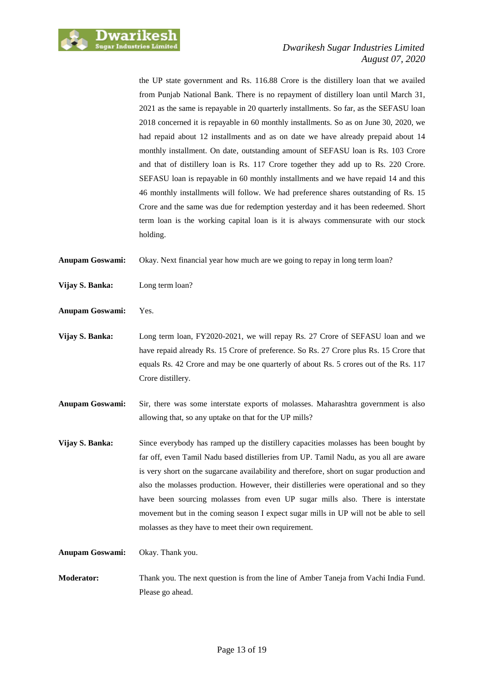

the UP state government and Rs. 116.88 Crore is the distillery loan that we availed from Punjab National Bank. There is no repayment of distillery loan until March 31, 2021 as the same is repayable in 20 quarterly installments. So far, as the SEFASU loan 2018 concerned it is repayable in 60 monthly installments. So as on June 30, 2020, we had repaid about 12 installments and as on date we have already prepaid about 14 monthly installment. On date, outstanding amount of SEFASU loan is Rs. 103 Crore and that of distillery loan is Rs. 117 Crore together they add up to Rs. 220 Crore. SEFASU loan is repayable in 60 monthly installments and we have repaid 14 and this 46 monthly installments will follow. We had preference shares outstanding of Rs. 15 Crore and the same was due for redemption yesterday and it has been redeemed. Short term loan is the working capital loan is it is always commensurate with our stock holding.

**Anupam Goswami:** Okay. Next financial year how much are we going to repay in long term loan?

- **Vijay S. Banka:** Long term loan?
- **Anupam Goswami:** Yes.
- **Vijay S. Banka:** Long term loan, FY2020-2021, we will repay Rs. 27 Crore of SEFASU loan and we have repaid already Rs. 15 Crore of preference. So Rs. 27 Crore plus Rs. 15 Crore that equals Rs. 42 Crore and may be one quarterly of about Rs. 5 crores out of the Rs. 117 Crore distillery.
- **Anupam Goswami:** Sir, there was some interstate exports of molasses. Maharashtra government is also allowing that, so any uptake on that for the UP mills?
- **Vijay S. Banka:** Since everybody has ramped up the distillery capacities molasses has been bought by far off, even Tamil Nadu based distilleries from UP. Tamil Nadu, as you all are aware is very short on the sugarcane availability and therefore, short on sugar production and also the molasses production. However, their distilleries were operational and so they have been sourcing molasses from even UP sugar mills also. There is interstate movement but in the coming season I expect sugar mills in UP will not be able to sell molasses as they have to meet their own requirement.

**Anupam Goswami:** Okay. Thank you.

**Moderator:** Thank you. The next question is from the line of Amber Taneja from Vachi India Fund. Please go ahead.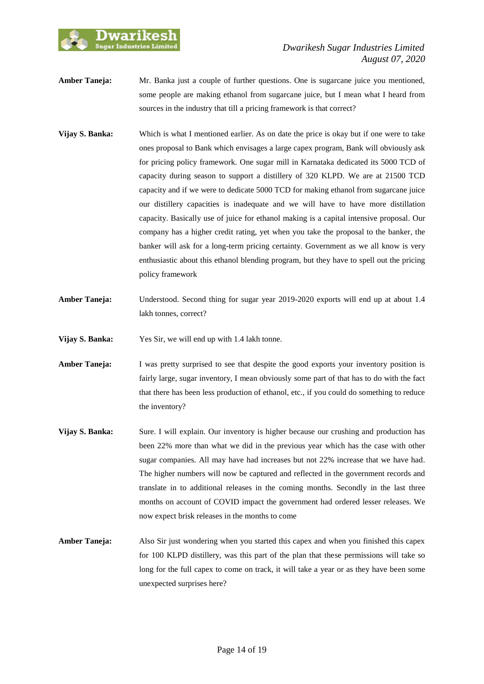

- **Amber Taneja:** Mr. Banka just a couple of further questions. One is sugarcane juice you mentioned, some people are making ethanol from sugarcane juice, but I mean what I heard from sources in the industry that till a pricing framework is that correct?
- **Vijay S. Banka:** Which is what I mentioned earlier. As on date the price is okay but if one were to take ones proposal to Bank which envisages a large capex program, Bank will obviously ask for pricing policy framework. One sugar mill in Karnataka dedicated its 5000 TCD of capacity during season to support a distillery of 320 KLPD. We are at 21500 TCD capacity and if we were to dedicate 5000 TCD for making ethanol from sugarcane juice our distillery capacities is inadequate and we will have to have more distillation capacity. Basically use of juice for ethanol making is a capital intensive proposal. Our company has a higher credit rating, yet when you take the proposal to the banker, the banker will ask for a long-term pricing certainty. Government as we all know is very enthusiastic about this ethanol blending program, but they have to spell out the pricing policy framework
- **Amber Taneja:** Understood. Second thing for sugar year 2019-2020 exports will end up at about 1.4 lakh tonnes, correct?
- **Vijay S. Banka:** Yes Sir, we will end up with 1.4 lakh tonne.
- **Amber Taneja:** I was pretty surprised to see that despite the good exports your inventory position is fairly large, sugar inventory, I mean obviously some part of that has to do with the fact that there has been less production of ethanol, etc., if you could do something to reduce the inventory?
- **Vijay S. Banka:** Sure. I will explain. Our inventory is higher because our crushing and production has been 22% more than what we did in the previous year which has the case with other sugar companies. All may have had increases but not 22% increase that we have had. The higher numbers will now be captured and reflected in the government records and translate in to additional releases in the coming months. Secondly in the last three months on account of COVID impact the government had ordered lesser releases. We now expect brisk releases in the months to come
- **Amber Taneja:** Also Sir just wondering when you started this capex and when you finished this capex for 100 KLPD distillery, was this part of the plan that these permissions will take so long for the full capex to come on track, it will take a year or as they have been some unexpected surprises here?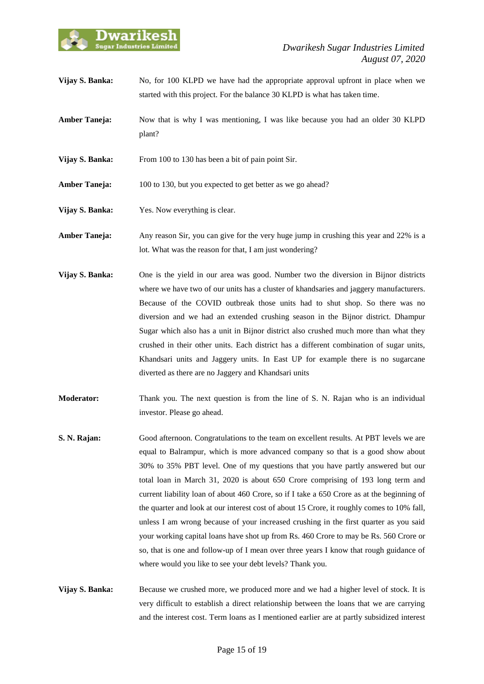

- **Vijay S. Banka:** No, for 100 KLPD we have had the appropriate approval upfront in place when we started with this project. For the balance 30 KLPD is what has taken time.
- **Amber Taneja:** Now that is why I was mentioning, I was like because you had an older 30 KLPD plant?
- **Vijay S. Banka:** From 100 to 130 has been a bit of pain point Sir.
- Amber Taneja: 100 to 130, but you expected to get better as we go ahead?
- **Vijay S. Banka:** Yes. Now everything is clear.
- **Amber Taneja:** Any reason Sir, you can give for the very huge jump in crushing this year and 22% is a lot. What was the reason for that, I am just wondering?
- **Vijay S. Banka:** One is the yield in our area was good. Number two the diversion in Bijnor districts where we have two of our units has a cluster of khandsaries and jaggery manufacturers. Because of the COVID outbreak those units had to shut shop. So there was no diversion and we had an extended crushing season in the Bijnor district. Dhampur Sugar which also has a unit in Bijnor district also crushed much more than what they crushed in their other units. Each district has a different combination of sugar units, Khandsari units and Jaggery units. In East UP for example there is no sugarcane diverted as there are no Jaggery and Khandsari units
- **Moderator:** Thank you. The next question is from the line of S. N. Rajan who is an individual investor. Please go ahead.
- **S. N. Rajan:** Good afternoon. Congratulations to the team on excellent results. At PBT levels we are equal to Balrampur, which is more advanced company so that is a good show about 30% to 35% PBT level. One of my questions that you have partly answered but our total loan in March 31, 2020 is about 650 Crore comprising of 193 long term and current liability loan of about 460 Crore, so if I take a 650 Crore as at the beginning of the quarter and look at our interest cost of about 15 Crore, it roughly comes to 10% fall, unless I am wrong because of your increased crushing in the first quarter as you said your working capital loans have shot up from Rs. 460 Crore to may be Rs. 560 Crore or so, that is one and follow-up of I mean over three years I know that rough guidance of where would you like to see your debt levels? Thank you.
- **Vijay S. Banka:** Because we crushed more, we produced more and we had a higher level of stock. It is very difficult to establish a direct relationship between the loans that we are carrying and the interest cost. Term loans as I mentioned earlier are at partly subsidized interest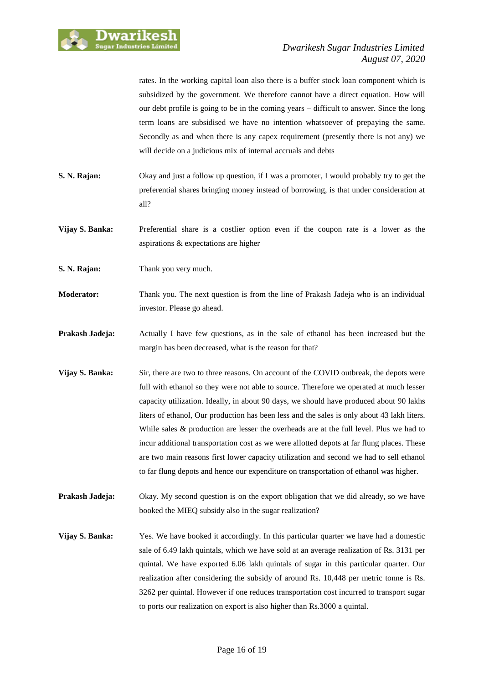

rates. In the working capital loan also there is a buffer stock loan component which is subsidized by the government. We therefore cannot have a direct equation. How will our debt profile is going to be in the coming years – difficult to answer. Since the long term loans are subsidised we have no intention whatsoever of prepaying the same. Secondly as and when there is any capex requirement (presently there is not any) we will decide on a judicious mix of internal accruals and debts

- **S. N. Rajan:** Okay and just a follow up question, if I was a promoter, I would probably try to get the preferential shares bringing money instead of borrowing, is that under consideration at all?
- **Vijay S. Banka:** Preferential share is a costlier option even if the coupon rate is a lower as the aspirations & expectations are higher
- **S. N. Rajan:** Thank you very much.
- **Moderator:** Thank you. The next question is from the line of Prakash Jadeja who is an individual investor. Please go ahead.
- **Prakash Jadeja:** Actually I have few questions, as in the sale of ethanol has been increased but the margin has been decreased, what is the reason for that?
- **Vijay S. Banka:** Sir, there are two to three reasons. On account of the COVID outbreak, the depots were full with ethanol so they were not able to source. Therefore we operated at much lesser capacity utilization. Ideally, in about 90 days, we should have produced about 90 lakhs liters of ethanol, Our production has been less and the sales is only about 43 lakh liters. While sales & production are lesser the overheads are at the full level. Plus we had to incur additional transportation cost as we were allotted depots at far flung places. These are two main reasons first lower capacity utilization and second we had to sell ethanol to far flung depots and hence our expenditure on transportation of ethanol was higher.
- **Prakash Jadeja:** Okay. My second question is on the export obligation that we did already, so we have booked the MIEQ subsidy also in the sugar realization?
- **Vijay S. Banka:** Yes. We have booked it accordingly. In this particular quarter we have had a domestic sale of 6.49 lakh quintals, which we have sold at an average realization of Rs. 3131 per quintal. We have exported 6.06 lakh quintals of sugar in this particular quarter. Our realization after considering the subsidy of around Rs. 10,448 per metric tonne is Rs. 3262 per quintal. However if one reduces transportation cost incurred to transport sugar to ports our realization on export is also higher than Rs.3000 a quintal.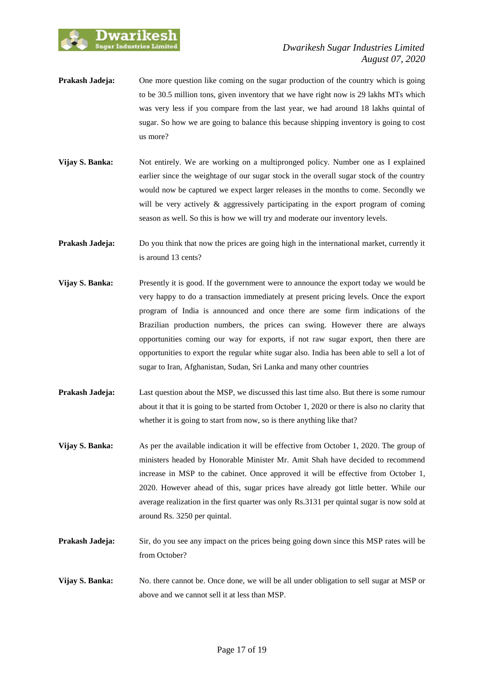

- **Prakash Jadeja:** One more question like coming on the sugar production of the country which is going to be 30.5 million tons, given inventory that we have right now is 29 lakhs MTs which was very less if you compare from the last year, we had around 18 lakhs quintal of sugar. So how we are going to balance this because shipping inventory is going to cost us more?
- **Vijay S. Banka:** Not entirely. We are working on a multipronged policy. Number one as I explained earlier since the weightage of our sugar stock in the overall sugar stock of the country would now be captured we expect larger releases in the months to come. Secondly we will be very actively & aggressively participating in the export program of coming season as well. So this is how we will try and moderate our inventory levels.
- **Prakash Jadeja:** Do you think that now the prices are going high in the international market, currently it is around 13 cents?
- **Vijay S. Banka:** Presently it is good. If the government were to announce the export today we would be very happy to do a transaction immediately at present pricing levels. Once the export program of India is announced and once there are some firm indications of the Brazilian production numbers, the prices can swing. However there are always opportunities coming our way for exports, if not raw sugar export, then there are opportunities to export the regular white sugar also. India has been able to sell a lot of sugar to Iran, Afghanistan, Sudan, Sri Lanka and many other countries
- **Prakash Jadeja:** Last question about the MSP, we discussed this last time also. But there is some rumour about it that it is going to be started from October 1, 2020 or there is also no clarity that whether it is going to start from now, so is there anything like that?
- **Vijay S. Banka:** As per the available indication it will be effective from October 1, 2020. The group of ministers headed by Honorable Minister Mr. Amit Shah have decided to recommend increase in MSP to the cabinet. Once approved it will be effective from October 1, 2020. However ahead of this, sugar prices have already got little better. While our average realization in the first quarter was only Rs.3131 per quintal sugar is now sold at around Rs. 3250 per quintal.
- **Prakash Jadeja:** Sir, do you see any impact on the prices being going down since this MSP rates will be from October?
- **Vijay S. Banka:** No. there cannot be. Once done, we will be all under obligation to sell sugar at MSP or above and we cannot sell it at less than MSP.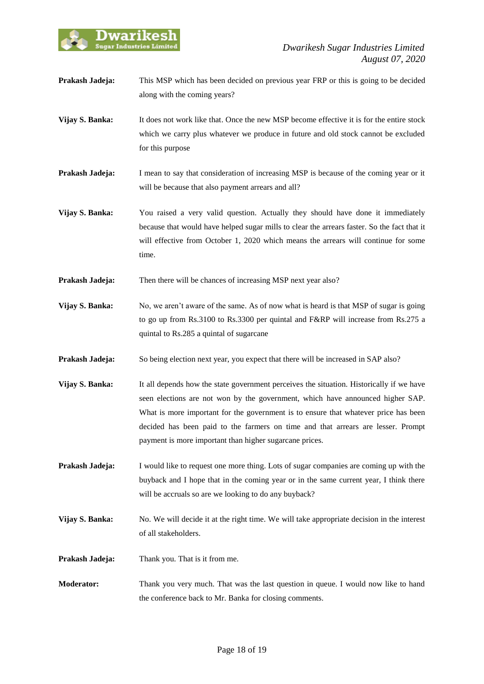

- **Prakash Jadeja:** This MSP which has been decided on previous year FRP or this is going to be decided along with the coming years?
- **Vijay S. Banka:** It does not work like that. Once the new MSP become effective it is for the entire stock which we carry plus whatever we produce in future and old stock cannot be excluded for this purpose
- **Prakash Jadeja:** I mean to say that consideration of increasing MSP is because of the coming year or it will be because that also payment arrears and all?
- **Vijay S. Banka:** You raised a very valid question. Actually they should have done it immediately because that would have helped sugar mills to clear the arrears faster. So the fact that it will effective from October 1, 2020 which means the arrears will continue for some time.
- **Prakash Jadeja:** Then there will be chances of increasing MSP next year also?
- **Vijay S. Banka:** No, we aren't aware of the same. As of now what is heard is that MSP of sugar is going to go up from Rs.3100 to Rs.3300 per quintal and F&RP will increase from Rs.275 a quintal to Rs.285 a quintal of sugarcane
- **Prakash Jadeja:** So being election next year, you expect that there will be increased in SAP also?
- **Vijay S. Banka:** It all depends how the state government perceives the situation. Historically if we have seen elections are not won by the government, which have announced higher SAP. What is more important for the government is to ensure that whatever price has been decided has been paid to the farmers on time and that arrears are lesser. Prompt payment is more important than higher sugarcane prices.
- **Prakash Jadeja:** I would like to request one more thing. Lots of sugar companies are coming up with the buyback and I hope that in the coming year or in the same current year, I think there will be accruals so are we looking to do any buyback?
- **Vijay S. Banka:** No. We will decide it at the right time. We will take appropriate decision in the interest of all stakeholders.
- **Prakash Jadeja:** Thank you. That is it from me.
- **Moderator:** Thank you very much. That was the last question in queue. I would now like to hand the conference back to Mr. Banka for closing comments.